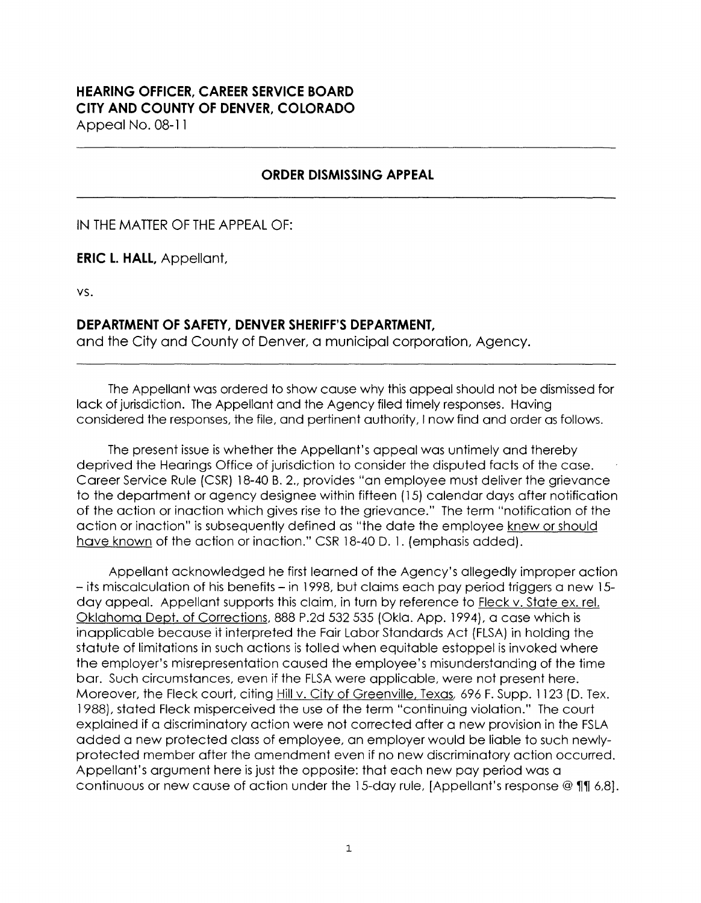## **HEARING OFFICER, CAREER SERVICE BOARD CITY AND COUNTY OF DENVER, COLORADO**

Appeal No. 08-11

## **ORDER DISMISSING APPEAL**

IN THE MATTER OF THE APPEAL OF:

**ERIC L. HALL,** Appellant,

vs.

## **DEPARTMENT OF SAFETY, DENVER SHERIFF'S DEPARTMENT,**

and the City and County of Denver, a municipal corporation, Agency.

The Appellant was ordered to show cause why this appeal should not be dismissed for lack of jurisdiction. The Appellant and the Agency filed timely responses. Having considered the responses, the file, and pertinent authority, I now find and order as follows.

The present issue is whether the Appellant's appeal was untimely and thereby deprived the Hearings Office of jurisdiction to consider the disputed facts of the case. Career Service Rule (CSR) 18-40 B. 2., provides "an employee must deliver the grievance to the department or agency designee within fifteen ( 15) calendar days after notification of the action or inaction which gives rise to the grievance." The term "notification of the action or inaction" is subsequently defined as "the date the employee knew or should have known of the action or inaction." CSR 18-40 D. 1. (emphasis added).

Appellant acknowledged he first learned of the Agency's allegedly improper action - its miscalculation of his benefits - in 1998, but claims each pay period triggers a new 15day appeal. Appellant supports this claim, in turn by reference to Fleck v. State ex. rel. Oklahoma Dept. of Corrections, 888 P.2d 532 535 (Okla. App. 1994), a case which is inapplicable because it interpreted the Fair Labor Standards Act (FLSA) in holding the statute of limitations in such actions is tolled when equitable estoppel is invoked where the employer's misrepresentation caused the employee's misunderstanding of the time bar. Such circumstances, even if the FLSA were applicable, were not present here. Moreover, the Fleck court, citing Hill v. City of Greenville, Texas, 696 F. Supp. 1123 (D. Tex. 1988), stated Fleck misperceived the use of the term "continuing violation." The court explained if a discriminatory action were not corrected after a new provision in the FSLA added a new protected class of employee, an employer would be liable to such newlyprotected member after the amendment even if no new discriminatory action occurred. Appellant's argument here is just the opposite: that each new pay period was a continuous or new cause of action under the 15-day rule, [Appellant's response @ 11 6,8].